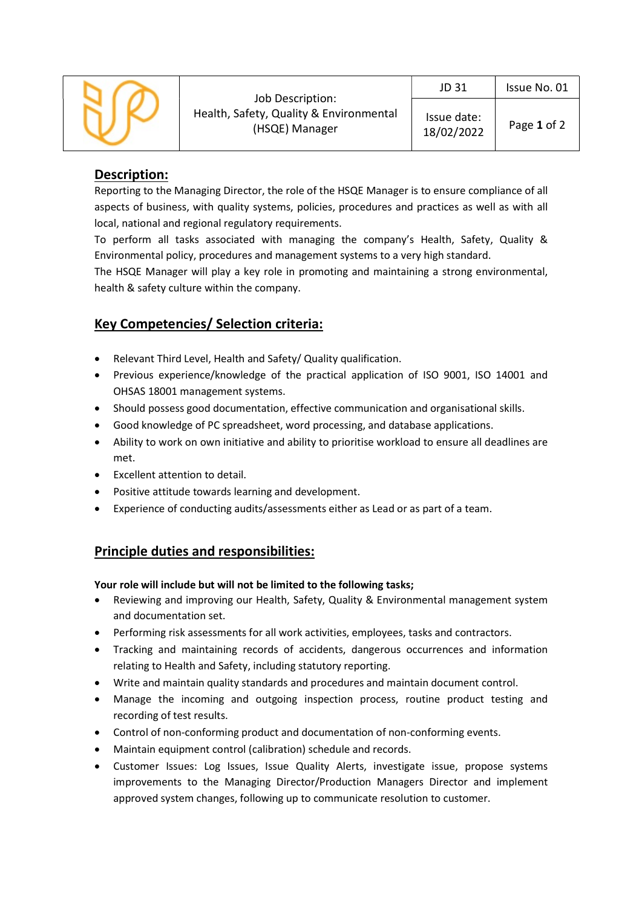

## Description:

Reporting to the Managing Director, the role of the HSQE Manager is to ensure compliance of all aspects of business, with quality systems, policies, procedures and practices as well as with all local, national and regional regulatory requirements.

To perform all tasks associated with managing the company's Health, Safety, Quality & Environmental policy, procedures and management systems to a very high standard.

The HSQE Manager will play a key role in promoting and maintaining a strong environmental, health & safety culture within the company.

## Key Competencies/ Selection criteria:

- Relevant Third Level, Health and Safety/ Quality qualification.
- Previous experience/knowledge of the practical application of ISO 9001, ISO 14001 and OHSAS 18001 management systems.
- Should possess good documentation, effective communication and organisational skills.
- Good knowledge of PC spreadsheet, word processing, and database applications.
- Ability to work on own initiative and ability to prioritise workload to ensure all deadlines are met.
- Excellent attention to detail.
- Positive attitude towards learning and development.
- Experience of conducting audits/assessments either as Lead or as part of a team.

## Principle duties and responsibilities:

Your role will include but will not be limited to the following tasks;

- Reviewing and improving our Health, Safety, Quality & Environmental management system and documentation set.
- Performing risk assessments for all work activities, employees, tasks and contractors.
- Tracking and maintaining records of accidents, dangerous occurrences and information relating to Health and Safety, including statutory reporting.
- Write and maintain quality standards and procedures and maintain document control.
- Manage the incoming and outgoing inspection process, routine product testing and recording of test results.
- Control of non-conforming product and documentation of non-conforming events.
- Maintain equipment control (calibration) schedule and records.
- Customer Issues: Log Issues, Issue Quality Alerts, investigate issue, propose systems improvements to the Managing Director/Production Managers Director and implement approved system changes, following up to communicate resolution to customer.